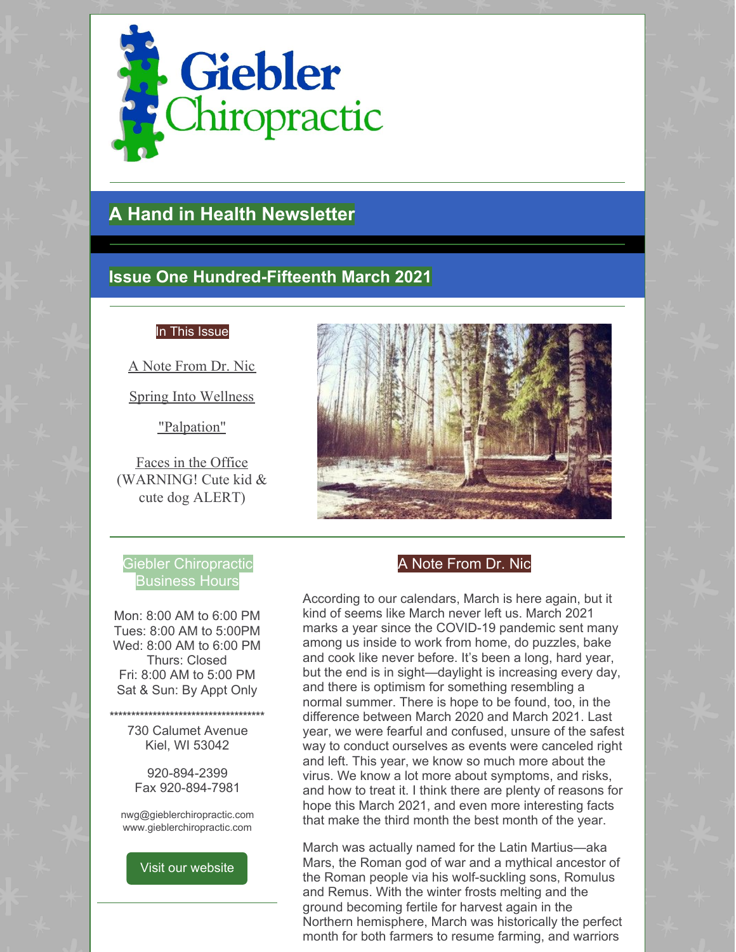

# **A Hand in Health Newsletter**

# **Issue One Hundred-Fifteenth March 2021**

#### In This Issue

A Note From Dr. Nic

Spring Into Wellness

"Palpation"

Faces in the Office (WARNING! Cute kid & cute dog ALERT)

# Giebler Chiropractic Business Hours

Mon: 8:00 AM to 6:00 PM Tues: 8:00 AM to 5:00PM Wed: 8:00 AM to 6:00 PM Thurs: Closed Fri: 8:00 AM to 5:00 PM Sat & Sun: By Appt Only

**\*\*\*\*\*\*\*\*\*\*\*\*\*\*\*\*\*\*\*\*\*\*\*\*\*\*\*\*\*\*\*\*\*\*\*\*** 730 Calumet Avenue

Kiel, WI 53042 920-894-2399

Fax 920-894-7981

nwg@gieblerchiropractic.com www.gieblerchiropractic.com

#### Visit our [website](http://www.gieblerchiropractic.com)

# A Note From Dr. Nic

According to our calendars, March is here again, but it kind of seems like March never left us. March 2021 marks a year since the COVID-19 pandemic sent many among us inside to work from home, do puzzles, bake and cook like never before. It's been a long, hard year, but the end is in sight—daylight is increasing every day, and there is optimism for something resembling a normal summer. There is hope to be found, too, in the difference between March 2020 and March 2021. Last year, we were fearful and confused, unsure of the safest way to conduct ourselves as events were canceled right and left. This year, we know so much more about the virus. We know a lot more about symptoms, and risks, and how to treat it. I think there are plenty of reasons for hope this March 2021, and even more interesting facts that make the third month the best month of the year.

March was actually named for the Latin Martius—aka Mars, the Roman god of war and a mythical ancestor of the Roman people via his wolf-suckling sons, Romulus and Remus. With the winter frosts melting and the ground becoming fertile for harvest again in the Northern hemisphere, March was historically the perfect month for both farmers to resume farming, and warriors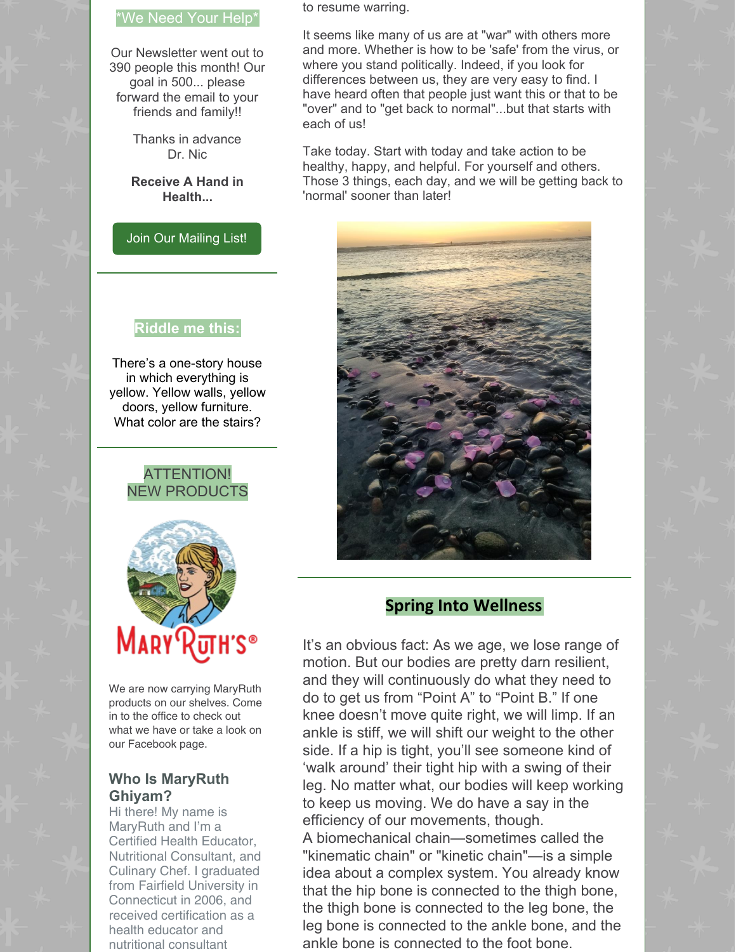### \*We Need Your Help\*

Our Newsletter went out to 390 people this month! Our goal in 500... please forward the email to your friends and family!!

> Thanks in advance Dr. Nic

**Receive A Hand in Health...**

Join Our [Mailing](http://www.gieblerchiropractic.com/newsletter/) List!

#### **Riddle me this:**

There's a one-story house in which everything is yellow. Yellow walls, yellow doors, yellow furniture. What color are the stairs?

# ATTENTION! NEW PRODUCTS



We are now carrying MaryRuth products on our shelves. Come in to the office to check out what we have or take a look on our Facebook page.

# **Who Is MaryRuth Ghiyam?**

Hi there! My name is MaryRuth and I'm a Certified Health Educator, Nutritional Consultant, and Culinary Chef. I graduated from Fairfield [University](https://www.fairfield.edu/) in Connecticut in 2006, and received certification as a health educator and nutritional consultant

to resume warring.

It seems like many of us are at "war" with others more and more. Whether is how to be 'safe' from the virus, or where you stand politically. Indeed, if you look for differences between us, they are very easy to find. I have heard often that people just want this or that to be "over" and to "get back to normal"...but that starts with each of us!

Take today. Start with today and take action to be healthy, happy, and helpful. For yourself and others. Those 3 things, each day, and we will be getting back to 'normal' sooner than later!



# **Spring Into Wellness**

It's an obvious fact: As we age, we lose range of motion. But our bodies are pretty darn resilient, and they will continuously do what they need to do to get us from "Point A" to "Point B." If one knee doesn't move quite right, we will limp. If an ankle is stiff, we will shift our weight to the other side. If a hip is tight, you'll see someone kind of 'walk around' their tight hip with a swing of their leg. No matter what, our bodies will keep working to keep us moving. We do have a say in the efficiency of our movements, though.

A biomechanical chain—sometimes called the "kinematic chain" or "kinetic chain"—is a simple idea about a complex system. You already know that the hip bone is connected to the thigh bone, the thigh bone is connected to the leg bone, the leg bone is connected to the ankle bone, and the ankle bone is connected to the foot bone.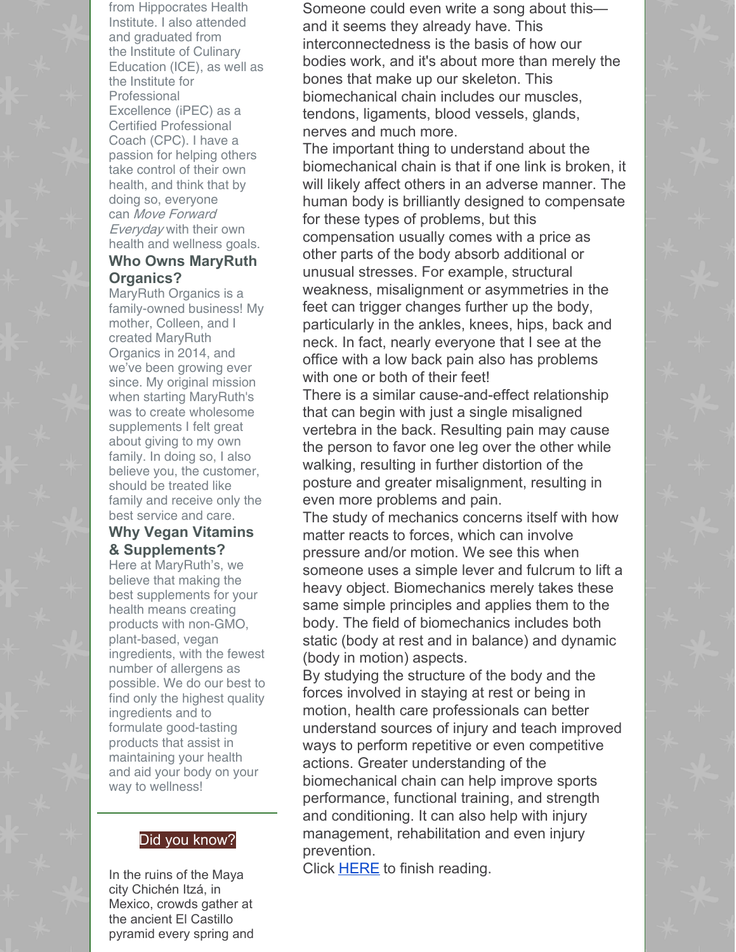from [Hippocrates](https://hippocratesinst.org/) Health Institute. I also attended and graduated from the Institute of [Culinary](https://www.ice.edu/losangeles) [Education](https://www.ice.edu/losangeles) (ICE), as well as the Institute for [Professional](https://www.ipeccoaching.com/) Excellence (iPEC) as a Certified Professional Coach (CPC). I have a passion for helping others take control of their own health, and think that by doing so, everyone can Move Forward Everyday with their own health and wellness goals.

#### **Who Owns MaryRuth Organics?**

MaryRuth Organics is a family-owned business! My mother, Colleen, and I created MaryRuth Organics in 2014, and we've been growing ever since. My original mission when starting MaryRuth's was to create wholesome supplements I felt great about giving to my own family. In doing so, I also believe you, the customer, should be treated like family and receive only the best service and care.

#### **Why Vegan Vitamins & Supplements?**

Here at MaryRuth's, we believe that making the best supplements for your health means creating products with non-GMO, plant-based, vegan ingredients, with the fewest number of allergens as possible. We do our best to find only the highest quality ingredients and to formulate good-tasting products that assist in maintaining your health and aid your body on your way to wellness!

# Did you know?

In the ruins of the Maya city Chichén Itzá, in Mexico, crowds gather at the ancient El Castillo pyramid every spring and

Someone could even write a song about this and it seems they already have. This interconnectedness is the basis of how our bodies work, and it's about more than merely the bones that make up our skeleton. This biomechanical chain includes our muscles, tendons, ligaments, blood vessels, glands, nerves and much more.

The important thing to understand about the biomechanical chain is that if one link is broken, it will likely affect others in an adverse manner. The human body is brilliantly designed to compensate for these types of problems, but this compensation usually comes with a price as other parts of the body absorb additional or unusual stresses. For example, structural weakness, misalignment or asymmetries in the feet can trigger changes further up the body, particularly in the ankles, knees, hips, back and neck. In fact, nearly everyone that I see at the office with a low back pain also has problems with one or both of their feet!

There is a similar cause-and-effect relationship that can begin with just a single misaligned vertebra in the back. Resulting pain may cause the person to favor one leg over the other while walking, resulting in further distortion of the posture and greater misalignment, resulting in even more problems and pain.

The study of mechanics concerns itself with how matter reacts to forces, which can involve pressure and/or motion. We see this when someone uses a simple lever and fulcrum to lift a heavy object. Biomechanics merely takes these same simple principles and applies them to the body. The field of biomechanics includes both static (body at rest and in balance) and dynamic (body in motion) aspects.

By studying the structure of the body and the forces involved in staying at rest or being in motion, health care professionals can better understand sources of injury and teach improved ways to perform repetitive or even competitive actions. Greater understanding of the biomechanical chain can help improve sports performance, functional training, and strength and conditioning. It can also help with injury management, rehabilitation and even injury prevention.

Click **[HERE](https://gieblerchiropractic.blogspot.com/2021/03/spring-into-wellness.html)** to finish reading.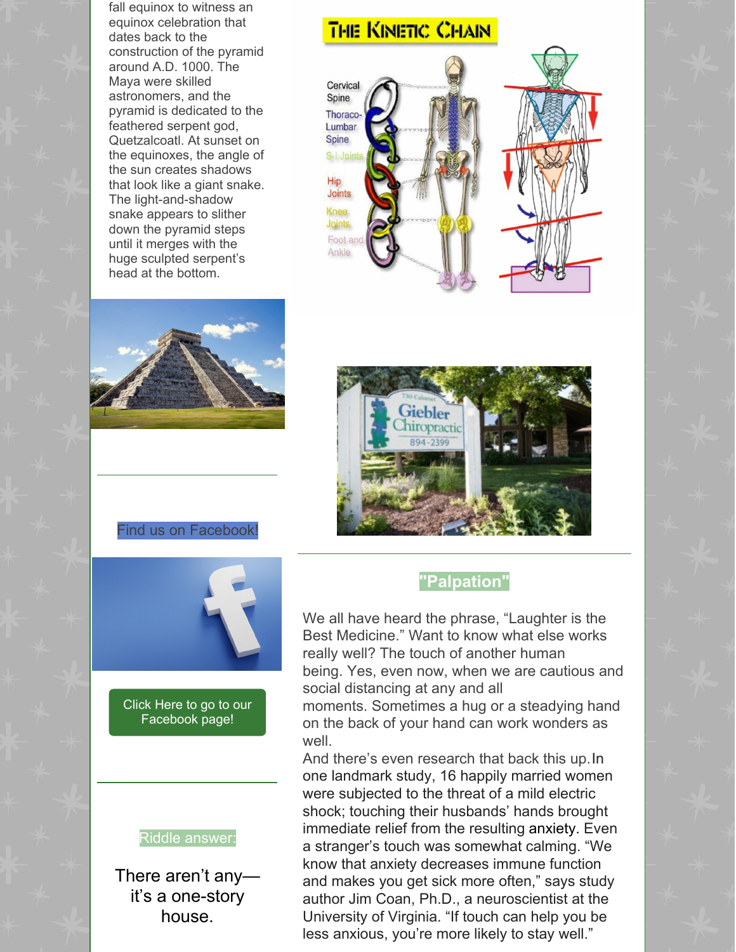fall equinox to witness an equinox celebration that dates back to the construction of the pyramid around A.D. 1000. The Maya were skilled astronomers, and the pyramid is dedicated to the feathered serpent god, Quetzalcoatl. At sunset on the equinoxes, the angle of the sun creates shadows that look like a giant snake. The light-and-shadow snake appears to slither down the pyramid steps until it merges with the huge sculpted serpent's head at the bottom.

# THE KINETIC CHAIN







#### Find us on Facebook!



Click Here to go to our [Facebook](https://www.facebook.com/gieblerchiro/) page!

#### Riddle answer:

There aren't any it's a one-story house.

# **"Palpation"**

We all have heard the phrase, "Laughter is the Best Medicine." Want to know what else works really well? The touch of another human being. Yes, even now, when we are cautious and social distancing at any and all

moments. Sometimes a hug or a steadying hand on the back of your hand can work wonders as well.

And there's even research that back this up.In one landmark study, 16 happily married women were subjected to the threat of a mild electric shock; touching their husbands' hands brought immediate relief from the resulting anxiety. Even a stranger's touch was somewhat calming. "We know that anxiety decreases immune function and makes you get sick more often," says study author Jim Coan, Ph.D., a neuroscientist at the University of Virginia. "If touch can help you be less anxious, you're more likely to stay well."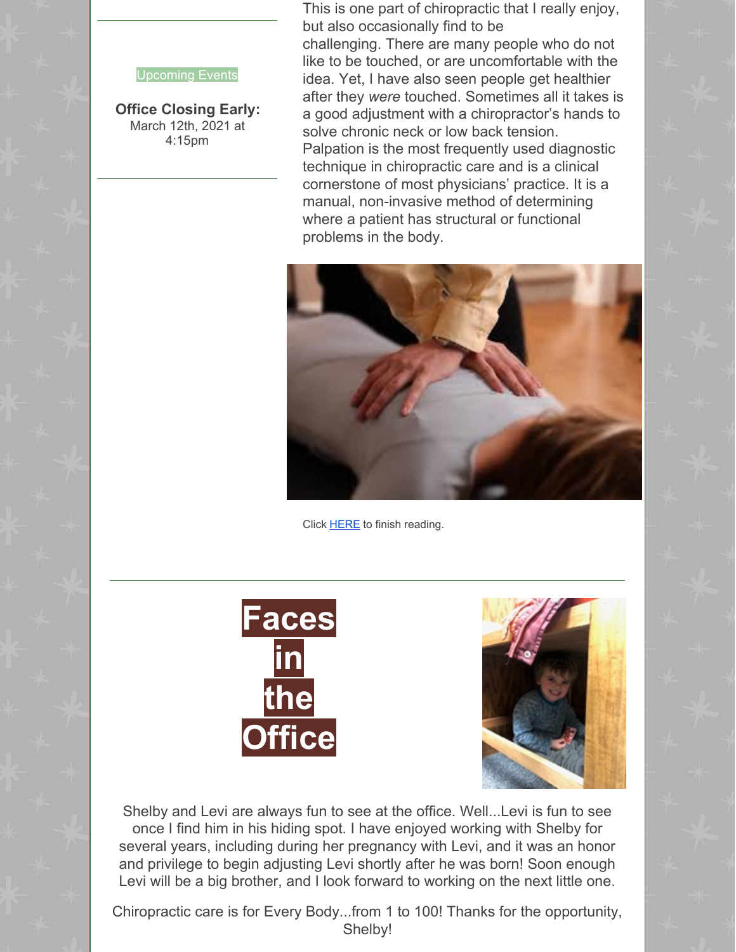This is one part of chiropractic that I really enjoy, but also occasionally find to be

#### Upcoming Events

**Office Closing Early:** March 12th, 2021 at 4:15pm

challenging. There are many people who do not like to be touched, or are uncomfortable with the idea. Yet, I have also seen people get healthier after they *were* touched. Sometimes all it takes is a good adjustment with a chiropractor's hands to solve chronic neck or low back tension. Palpation is the most frequently used diagnostic technique in chiropractic care and is a clinical cornerstone of most physicians' practice. It is a manual, non-invasive method of determining where a patient has structural or functional problems in the body.



Click [HERE](https://gieblerchiropractic.blogspot.com/2021/03/palpation.html) to finish reading.





Shelby and Levi are always fun to see at the office. Well...Levi is fun to see once I find him in his hiding spot. I have enjoyed working with Shelby for several years, including during her pregnancy with Levi, and it was an honor and privilege to begin adjusting Levi shortly after he was born! Soon enough Levi will be a big brother, and I look forward to working on the next little one.

Chiropractic care is for Every Body...from 1 to 100! Thanks for the opportunity, Shelby!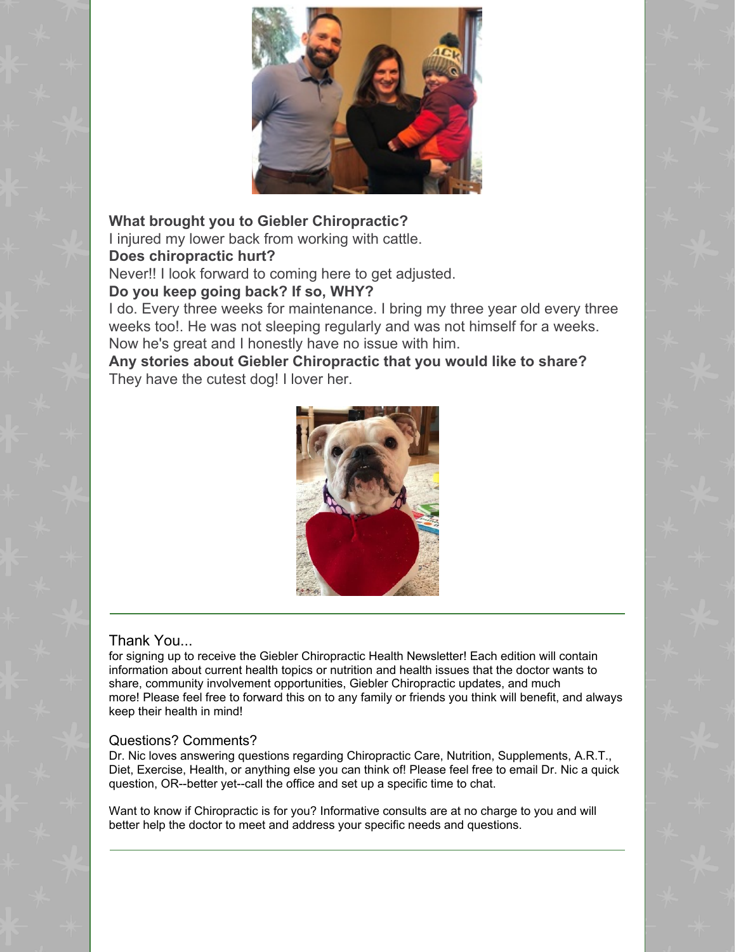

**What brought you to Giebler Chiropractic?** I injured my lower back from working with cattle.

# **Does chiropractic hurt?**

Never!! I look forward to coming here to get adjusted.

# **Do you keep going back? If so, WHY?**

I do. Every three weeks for maintenance. I bring my three year old every three weeks too!. He was not sleeping regularly and was not himself for a weeks. Now he's great and I honestly have no issue with him.

**Any stories about Giebler Chiropractic that you would like to share?** They have the cutest dog! I lover her.



# Thank You...

for signing up to receive the Giebler Chiropractic Health Newsletter! Each edition will contain information about current health topics or nutrition and health issues that the doctor wants to share, community involvement opportunities, Giebler Chiropractic updates, and much more! Please feel free to forward this on to any family or friends you think will benefit, and always keep their health in mind!

## Questions? Comments?

Dr. Nic loves answering questions regarding Chiropractic Care, Nutrition, Supplements, A.R.T., Diet, Exercise, Health, or anything else you can think of! Please feel free to email Dr. Nic a quick question, OR--better yet--call the office and set up a specific time to chat.

Want to know if Chiropractic is for you? Informative consults are at no charge to you and will better help the doctor to meet and address your specific needs and questions.